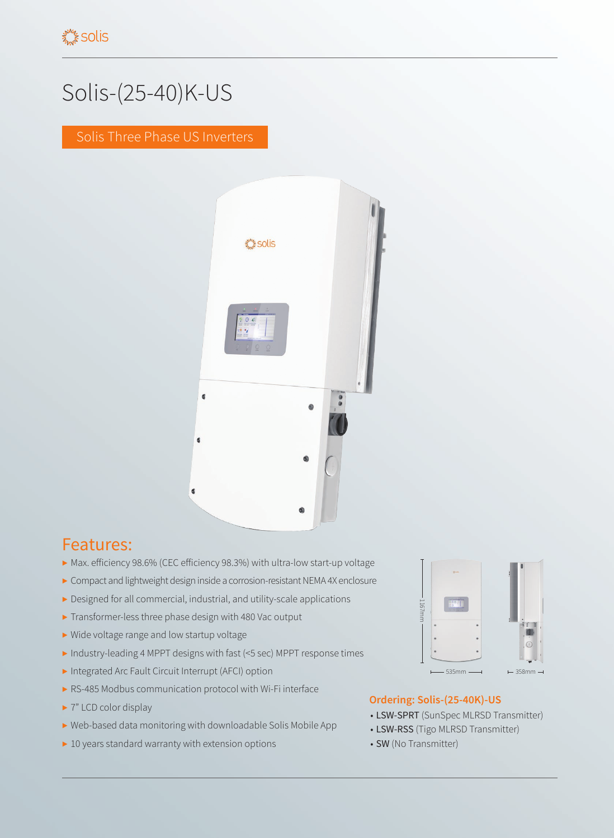## Solis-(25-40)K-US

Solis Three Phase US Inverters



## Features:

- ▶ Max. efficiency 98.6% (CEC efficiency 98.3%) with ultra-low start-up voltage
- ▶ Compact and lightweight design inside a corrosion-resistant NEMA 4X enclosure
- ▶ Designed for all commercial, industrial, and utility-scale applications
- ▶ Transformer-less three phase design with 480 Vac output
- ▶ Wide voltage range and low startup voltage
- ▶ Industry-leading 4 MPPT designs with fast (<5 sec) MPPT response times
- ▶ Integrated Arc Fault Circuit Interrupt (AFCI) option
- ▶ RS-485 Modbus communication protocol with Wi-Fi interface
- ▶ 7" LCD color display
- ▶ Web-based data monitoring with downloadable Solis Mobile App
- ▶ 10 years standard warranty with extension options



## **Ordering: Solis-(25-40K)-US**

- LSW-SPRT (SunSpec MLRSD Transmitter)
- LSW-RSS (Tigo MLRSD Transmitter)
- SW (No Transmitter)